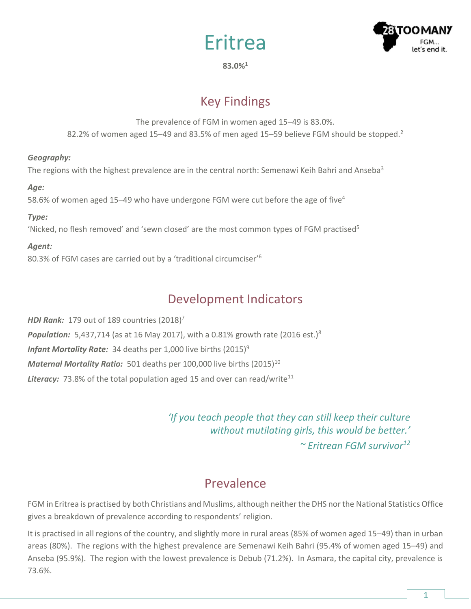



**83.0%<sup>1</sup>**

# Key Findings

The prevalence of FGM in women aged 15–49 is 83.0%. 82.2% of women aged 15–49 and 83.5% of men aged 15–59 believe FGM should be stopped.<sup>2</sup>

### *Geography:*

The regions with the highest prevalence are in the central north: Semenawi Keih Bahri and Anseba<sup>3</sup>

### *Age:*

58.6% of women aged 15–49 who have undergone FGM were cut before the age of five<sup>4</sup>

### *Type:*

'Nicked, no flesh removed' and 'sewn closed' are the most common types of FGM practised<sup>5</sup>

### *Agent:*

80.3% of FGM cases are carried out by a 'traditional circumciser'<sup>6</sup>

# Development Indicators

*HDI Rank:* 179 out of 189 countries (2018) 7 **Population:** 5,437,714 (as at 16 May 2017), with a 0.81% growth rate (2016 est.)<sup>8</sup> *Infant Mortality Rate:* 34 deaths per 1,000 live births (2015)<sup>9</sup> *Maternal Mortality Ratio:* 501 deaths per 100,000 live births (2015)<sup>10</sup> **Literacy:** 73.8% of the total population aged 15 and over can read/write<sup>11</sup>

> *'If you teach people that they can still keep their culture without mutilating girls, this would be better.' ~ Eritrean FGM survivor<sup>12</sup>*

## **Prevalence**

FGM in Eritrea is practised by both Christians and Muslims, although neither the DHS nor the National Statistics Office gives a breakdown of prevalence according to respondents' religion.

It is practised in all regions of the country, and slightly more in rural areas (85% of women aged 15–49) than in urban areas (80%). The regions with the highest prevalence are Semenawi Keih Bahri (95.4% of women aged 15–49) and Anseba (95.9%). The region with the lowest prevalence is Debub (71.2%). In Asmara, the capital city, prevalence is 73.6%.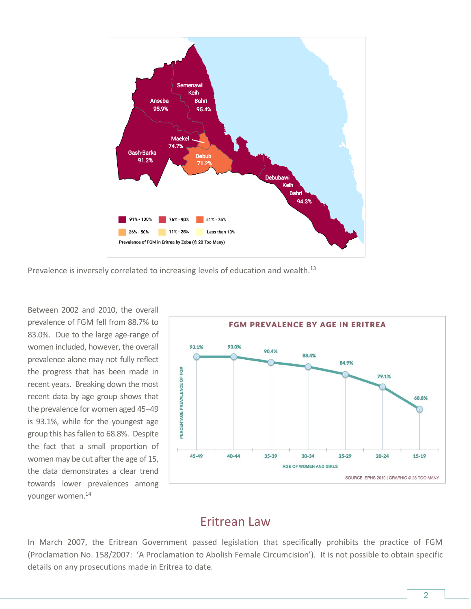

Prevalence is inversely correlated to increasing levels of education and wealth. $^{13}$ 

Between 2002 and 2010, the overall prevalence of FGM fell from 88.7% to 83.0%. Due to the large age-range of women included, however, the overall prevalence alone may not fully reflect the progress that has been made in recent years. Breaking down the most recent data by age group shows that the prevalence for women aged 45–49 is 93.1%, while for the youngest age group this has fallen to 68.8%. Despite the fact that a small proportion of women may be cut after the age of 15, the data demonstrates a clear trend towards lower prevalences among younger women.<sup>14</sup>



### Eritrean Law

In March 2007, the Eritrean Government passed legislation that specifically prohibits the practice of FGM (Proclamation No. 158/2007: 'A Proclamation to Abolish Female Circumcision'). It is not possible to obtain specific details on any prosecutions made in Eritrea to date.